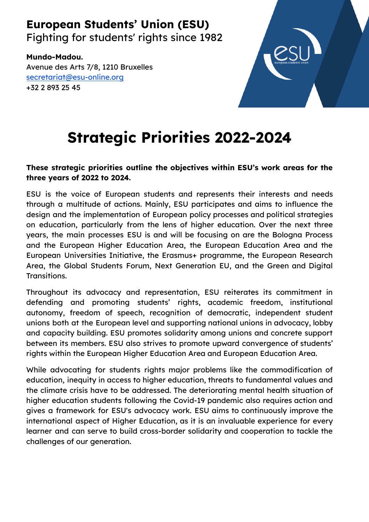# **European Students' Union (ESU)**

Fighting for students' rights since 1982

**Mundo-Madou.** Avenue des Arts 7/8, 1210 Bruxelles [secretariat@esu-online.org](mailto:secretariat@esu-online.org) +32 2 893 25 45



# **Strategic Priorities 2022-2024**

#### **These strategic priorities outline the objectives within ESU's work areas for the three years of 2022 to 2024.**

ESU is the voice of European students and represents their interests and needs through a multitude of actions. Mainly, ESU participates and aims to influence the design and the implementation of European policy processes and political strategies on education, particularly from the lens of higher education. Over the next three years, the main processes ESU is and will be focusing on are the Bologna Process and the European Higher Education Area, the European Education Area and the European Universities Initiative, the Erasmus+ programme, the European Research Area, the Global Students Forum, Next Generation EU, and the Green and Digital Transitions.

Throughout its advocacy and representation, ESU reiterates its commitment in defending and promoting students' rights, academic freedom, institutional autonomy, freedom of speech, recognition of democratic, independent student unions both at the European level and supporting national unions in advocacy, lobby and capacity building. ESU promotes solidarity among unions and concrete support between its members. ESU also strives to promote upward convergence of students' rights within the European Higher Education Area and European Education Area.

While advocating for students rights major problems like the commodification of education, inequity in access to higher education, threats to fundamental values and the climate crisis have to be addressed. The deteriorating mental health situation of higher education students following the Covid-19 pandemic also requires action and gives a framework for ESU's advocacy work. ESU aims to continuously improve the international aspect of Higher Education, as it is an invaluable experience for every learner and can serve to build cross-border solidarity and cooperation to tackle the challenges of our generation.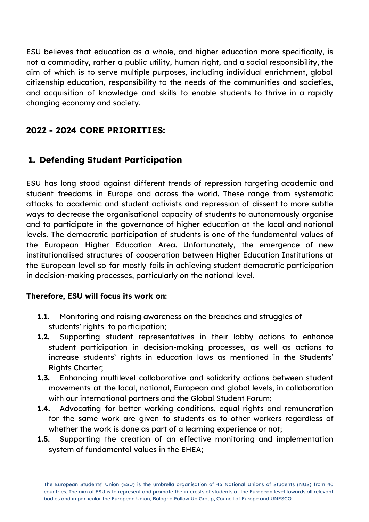ESU believes that education as a whole, and higher education more specifically, is not a commodity, rather a public utility, human right, and a social responsibility, the aim of which is to serve multiple purposes, including individual enrichment, global citizenship education, responsibility to the needs of the communities and societies, and acquisition of knowledge and skills to enable students to thrive in a rapidly changing economy and society.

## **2022 - 2024 CORE PRIORITIES:**

# **1. Defending Student Participation**

ESU has long stood against different trends of repression targeting academic and student freedoms in Europe and across the world. These range from systematic attacks to academic and student activists and repression of dissent to more subtle ways to decrease the organisational capacity of students to autonomously organise and to participate in the governance of higher education at the local and national levels. The democratic participation of students is one of the fundamental values of the European Higher Education Area. Unfortunately, the emergence of new institutionalised structures of cooperation between Higher Education Institutions at the European level so far mostly fails in achieving student democratic participation in decision-making processes, particularly on the national level.

- **1.1.** Monitoring and raising awareness on the breaches and struggles of students' rights to participation;
- **1.2.** Supporting student representatives in their lobby actions to enhance student participation in decision-making processes, as well as actions to increase students' rights in education laws as mentioned in the Students' Rights Charter;
- **1.3.** Enhancing multilevel collaborative and solidarity actions between student movements at the local, national, European and global levels, in collaboration with our international partners and the Global Student Forum;
- **1.4.** Advocating for better working conditions, equal rights and remuneration for the same work are given to students as to other workers regardless of whether the work is done as part of a learning experience or not;
- **1.5.** Supporting the creation of an effective monitoring and implementation system of fundamental values in the EHEA;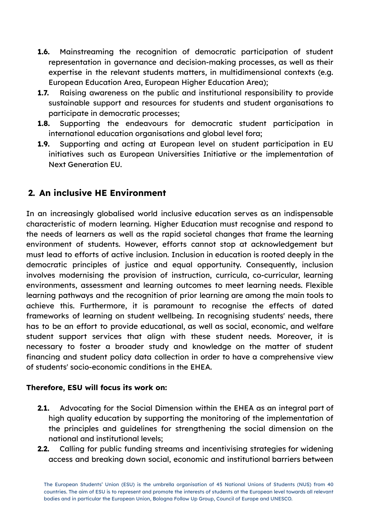- **1.6.** Mainstreaming the recognition of democratic participation of student representation in governance and decision-making processes, as well as their expertise in the relevant students matters, in multidimensional contexts (e.g. European Education Area, European Higher Education Area);
- **1.7.** Raising awareness on the public and institutional responsibility to provide sustainable support and resources for students and student organisations to participate in democratic processes;
- **1.8.** Supporting the endeavours for democratic student participation in international education organisations and global level fora;
- **1.9.** Supporting and acting at European level on student participation in EU initiatives such as European Universities Initiative or the implementation of Next Generation EU.

# **2. An inclusive HE Environment**

In an increasingly globalised world inclusive education serves as an indispensable characteristic of modern learning. Higher Education must recognise and respond to the needs of learners as well as the rapid societal changes that frame the learning environment of students. However, efforts cannot stop at acknowledgement but must lead to efforts of active inclusion. Inclusion in education is rooted deeply in the democratic principles of justice and equal opportunity. Consequently, inclusion involves modernising the provision of instruction, curricula, co-curricular, learning environments, assessment and learning outcomes to meet learning needs. Flexible learning pathways and the recognition of prior learning are among the main tools to achieve this. Furthermore, it is paramount to recognise the effects of dated frameworks of learning on student wellbeing. In recognising students' needs, there has to be an effort to provide educational, as well as social, economic, and welfare student support services that align with these student needs. Moreover, it is necessary to foster a broader study and knowledge on the matter of student financing and student policy data collection in order to have a comprehensive view of students' socio-economic conditions in the EHEA.

- **2.1.** Advocating for the Social Dimension within the EHEA as an integral part of high quality education by supporting the monitoring of the implementation of the principles and guidelines for strengthening the social dimension on the national and institutional levels;
- **2.2.** Calling for public funding streams and incentivising strategies for widening access and breaking down social, economic and institutional barriers between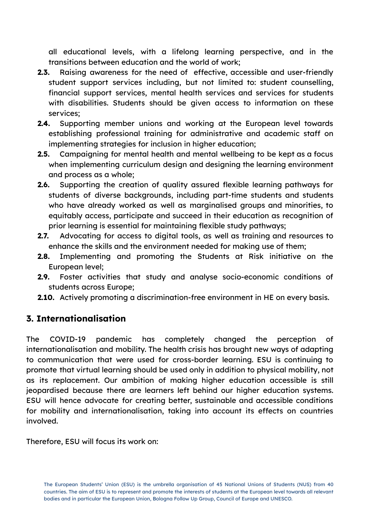all educational levels, with a lifelong learning perspective, and in the transitions between education and the world of work;

- **2.3.** Raising awareness for the need of effective, accessible and user-friendly student support services including, but not limited to: student counselling, financial support services, mental health services and services for students with disabilities. Students should be given access to information on these services;
- **2.4.** Supporting member unions and working at the European level towards establishing professional training for administrative and academic staff on implementing strategies for inclusion in higher education;
- **2.5.** Campaigning for mental health and mental wellbeing to be kept as a focus when implementing curriculum design and designing the learning environment and process as a whole;
- **2.6.** Supporting the creation of quality assured flexible learning pathways for students of diverse backgrounds, including part-time students and students who have already worked as well as marginalised groups and minorities, to equitably access, participate and succeed in their education as recognition of prior learning is essential for maintaining flexible study pathways;
- **2.7.** Advocating for access to digital tools, as well as training and resources to enhance the skills and the environment needed for making use of them;
- **2.8.** Implementing and promoting the Students at Risk initiative on the European level;
- **2.9.** Foster activities that study and analyse socio-economic conditions of students across Europe;
- **2.10.** Actively promoting a discrimination-free environment in HE on every basis.

#### **3. Internationalisation**

The COVID-19 pandemic has completely changed the perception of internationalisation and mobility. The health crisis has brought new ways of adapting to communication that were used for cross-border learning. ESU is continuing to promote that virtual learning should be used only in addition to physical mobility, not as its replacement. Our ambition of making higher education accessible is still jeopardised because there are learners left behind our higher education systems. ESU will hence advocate for creating better, sustainable and accessible conditions for mobility and internationalisation, taking into account its effects on countries involved.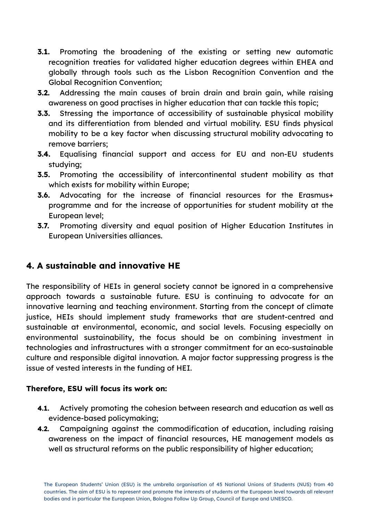- **3.1.** Promoting the broadening of the existing or setting new automatic recognition treaties for validated higher education degrees within EHEA and globally through tools such as the Lisbon Recognition Convention and the Global Recognition Convention;
- **3.2.** Addressing the main causes of brain drain and brain gain, while raising awareness on good practises in higher education that can tackle this topic;
- **3.3.** Stressing the importance of accessibility of sustainable physical mobility and its differentiation from blended and virtual mobility. ESU finds physical mobility to be a key factor when discussing structural mobility advocating to remove barriers;
- **3.4.** Equalising financial support and access for EU and non-EU students studying;
- **3.5.** Promoting the accessibility of intercontinental student mobility as that which exists for mobility within Europe;
- **3.6.** Advocating for the increase of financial resources for the Erasmus+ programme and for the increase of opportunities for student mobility at the European level;
- **3.7.** Promoting diversity and equal position of Higher Education Institutes in European Universities alliances.

# **4. A sustainable and innovative HE**

The responsibility of HEIs in general society cannot be ignored in a comprehensive approach towards a sustainable future. ESU is continuing to advocate for an innovative learning and teaching environment. Starting from the concept of climate justice, HEIs should implement study frameworks that are student-centred and sustainable at environmental, economic, and social levels. Focusing especially on environmental sustainability, the focus should be on combining investment in technologies and infrastructures with a stronger commitment for an eco-sustainable culture and responsible digital innovation. A major factor suppressing progress is the issue of vested interests in the funding of HEI.

- **4.1.** Actively promoting the cohesion between research and education as well as evidence-based policymaking;
- **4.2.** Campaigning against the commodification of education, including raising awareness on the impact of financial resources, HE management models as well as structural reforms on the public responsibility of higher education;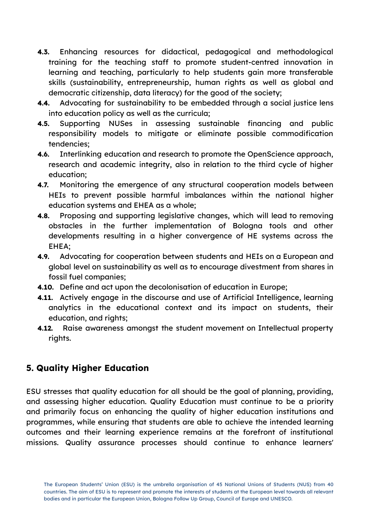- **4.3.** Enhancing resources for didactical, pedagogical and methodological training for the teaching staff to promote student-centred innovation in learning and teaching, particularly to help students gain more transferable skills (sustainability, entrepreneurship, human rights as well as global and democratic citizenship, data literacy) for the good of the society;
- **4.4.** Advocating for sustainability to be embedded through a social justice lens into education policy as well as the curricula;
- **4.5.** Supporting NUSes in assessing sustainable financing and public responsibility models to mitigate or eliminate possible commodification tendencies;
- **4.6.** Interlinking education and research to promote the OpenScience approach, research and academic integrity, also in relation to the third cycle of higher education;
- **4.7.** Monitoring the emergence of any structural cooperation models between HEIs to prevent possible harmful imbalances within the national higher education systems and EHEA as a whole;
- **4.8.** Proposing and supporting legislative changes, which will lead to removing obstacles in the further implementation of Bologna tools and other developments resulting in a higher convergence of HE systems across the EHEA;
- **4.9.** Advocating for cooperation between students and HEIs on a European and global level on sustainability as well as to encourage divestment from shares in fossil fuel companies;
- **4.10.** Define and act upon the decolonisation of education in Europe;
- **4.11.** Actively engage in the discourse and use of Artificial Intelligence, learning analytics in the educational context and its impact on students, their education, and rights;
- **4.12.** Raise awareness amongst the student movement on Intellectual property rights.

# **5. Quality Higher Education**

ESU stresses that quality education for all should be the goal of planning, providing, and assessing higher education. Quality Education must continue to be a priority and primarily focus on enhancing the quality of higher education institutions and programmes, while ensuring that students are able to achieve the intended learning outcomes and their learning experience remains at the forefront of institutional missions. Quality assurance processes should continue to enhance learners'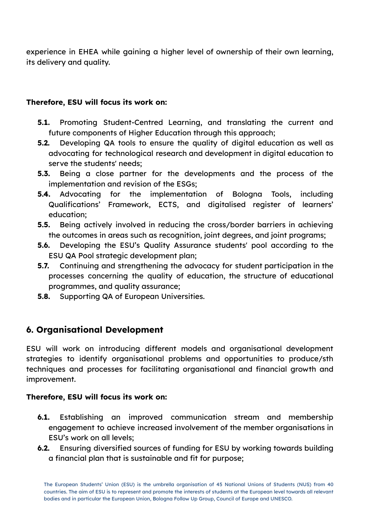experience in EHEA while gaining a higher level of ownership of their own learning, its delivery and quality.

#### **Therefore, ESU will focus its work on:**

- **5.1.** Promoting Student-Centred Learning, and translating the current and future components of Higher Education through this approach:
- **5.2.** Developing QA tools to ensure the quality of digital education as well as advocating for technological research and development in digital education to serve the students' needs;
- **5.3.** Being a close partner for the developments and the process of the implementation and revision of the ESGs;
- **5.4.** Advocating for the implementation of Bologna Tools, including Qualifications' Framework, ECTS, and digitalised register of learners' education;
- **5.5.** Being actively involved in reducing the cross/border barriers in achieving the outcomes in areas such as recognition, joint degrees, and joint programs;
- **5.6.** Developing the ESU's Quality Assurance students' pool according to the ESU QA Pool strategic development plan;
- **5.7.** Continuing and strengthening the advocacy for student participation in the processes concerning the quality of education, the structure of educational programmes, and quality assurance;
- **5.8.** Supporting QA of European Universities.

### **6. Organisational Development**

ESU will work on introducing different models and organisational development strategies to identify organisational problems and opportunities to produce/sth techniques and processes for facilitating organisational and financial growth and improvement.

- **6.1.** Establishing an improved communication stream and membership engagement to achieve increased involvement of the member organisations in ESU's work on all levels;
- **6.2.** Ensuring diversified sources of funding for ESU by working towards building a financial plan that is sustainable and fit for purpose;